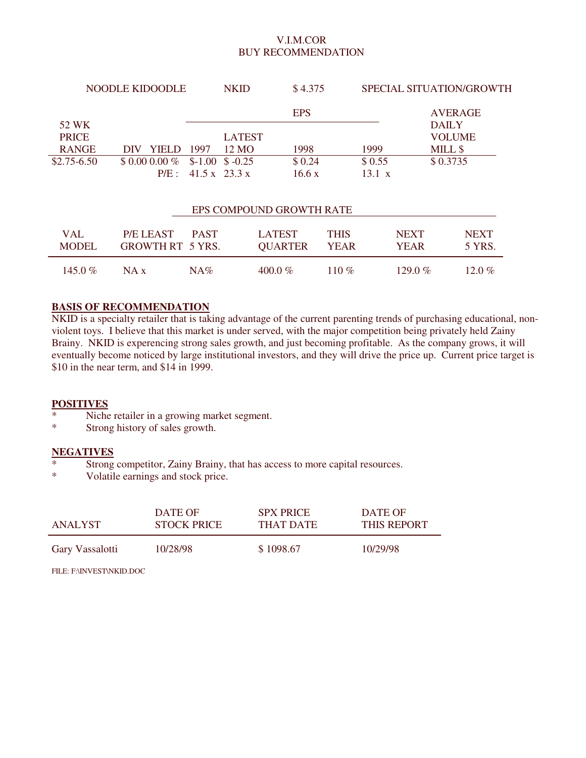## V.I.M.COR BUY RECOMMENDATION

| NOODLE KIDOODLE |               | <b>NKID</b> |                            | \$4.375    |               | SPECIAL SITUATION/GROWTH |  |  |
|-----------------|---------------|-------------|----------------------------|------------|---------------|--------------------------|--|--|
|                 |               |             |                            | <b>EPS</b> |               | <b>AVERAGE</b>           |  |  |
| 52 WK           |               |             |                            |            |               | <b>DAILY</b>             |  |  |
| <b>PRICE</b>    |               |             | <b>LATEST</b>              |            |               | <b>VOLUME</b>            |  |  |
| <b>RANGE</b>    | <b>YIELD</b>  | 1997        | 12 MO                      | 1998       | 1999          | MILL \$                  |  |  |
| $$2.75 - 6.50$  | $$0.000.00\%$ |             | $$-1.00 \space$ \$ $-0.25$ | \$0.24     | \$0.55        | \$0.3735                 |  |  |
|                 |               |             | P/E: 41.5 x 23.3 x         | 16.6 x     | $13.1 \times$ |                          |  |  |
|                 |               |             |                            |            |               |                          |  |  |

| EPS COMPOUND GROWTH RATE |                                          |     |                                 |               |                            |                       |  |  |
|--------------------------|------------------------------------------|-----|---------------------------------|---------------|----------------------------|-----------------------|--|--|
| VAL.<br>MODEL.           | P/ELEAST PAST<br><b>GROWTH RT 5 YRS.</b> |     | <b>LATEST</b><br><b>OUARTER</b> | THIS<br>YEAR. | <b>NEXT</b><br><b>YEAR</b> | <b>NEXT</b><br>5 YRS. |  |  |
| 145.0 $\%$               | NA x                                     | NA% | $400.0\%$                       | 110 $\%$      | 129.0 $\%$                 | 12.0 %                |  |  |

## **BASIS OF RECOMMENDATION**

NKID is a specialty retailer that is taking advantage of the current parenting trends of purchasing educational, nonviolent toys. I believe that this market is under served, with the major competition being privately held Zainy Brainy. NKID is experencing strong sales growth, and just becoming profitable. As the company grows, it will eventually become noticed by large institutional investors, and they will drive the price up. Current price target is \$10 in the near term, and \$14 in 1999.

## **POSITIVES**

- \* Niche retailer in a growing market segment.
- Strong history of sales growth.

### **NEGATIVES**

- $\frac{*}{*}$  Strong competitor, Zainy Brainy, that has access to more capital resources.<br> $\frac{*}{*}$  Volatile earnings and stock price
- Volatile earnings and stock price.

| ANALYST         | DATE OF            | <b>SPX PRICE</b> | DATE OF            |
|-----------------|--------------------|------------------|--------------------|
|                 | <b>STOCK PRICE</b> | THAT DATE        | <b>THIS REPORT</b> |
| Gary Vassalotti | 10/28/98           | \$1098.67        | 10/29/98           |

FILE: F:\INVEST\NKID.DOC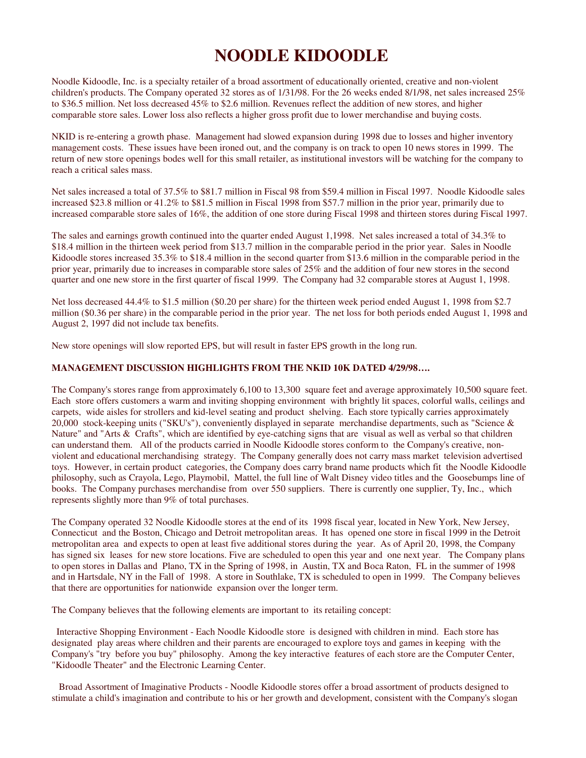# **NOODLE KIDOODLE**

Noodle Kidoodle, Inc. is a specialty retailer of a broad assortment of educationally oriented, creative and non-violent children's products. The Company operated 32 stores as of 1/31/98. For the 26 weeks ended 8/1/98, net sales increased 25% to \$36.5 million. Net loss decreased 45% to \$2.6 million. Revenues reflect the addition of new stores, and higher comparable store sales. Lower loss also reflects a higher gross profit due to lower merchandise and buying costs.

NKID is re-entering a growth phase. Management had slowed expansion during 1998 due to losses and higher inventory management costs. These issues have been ironed out, and the company is on track to open 10 news stores in 1999. The return of new store openings bodes well for this small retailer, as institutional investors will be watching for the company to reach a critical sales mass.

Net sales increased a total of 37.5% to \$81.7 million in Fiscal 98 from \$59.4 million in Fiscal 1997. Noodle Kidoodle sales increased \$23.8 million or 41.2% to \$81.5 million in Fiscal 1998 from \$57.7 million in the prior year, primarily due to increased comparable store sales of 16%, the addition of one store during Fiscal 1998 and thirteen stores during Fiscal 1997.

The sales and earnings growth continued into the quarter ended August 1,1998. Net sales increased a total of 34.3% to \$18.4 million in the thirteen week period from \$13.7 million in the comparable period in the prior year. Sales in Noodle Kidoodle stores increased 35.3% to \$18.4 million in the second quarter from \$13.6 million in the comparable period in the prior year, primarily due to increases in comparable store sales of 25% and the addition of four new stores in the second quarter and one new store in the first quarter of fiscal 1999. The Company had 32 comparable stores at August 1, 1998.

Net loss decreased 44.4% to \$1.5 million (\$0.20 per share) for the thirteen week period ended August 1, 1998 from \$2.7 million (\$0.36 per share) in the comparable period in the prior year. The net loss for both periods ended August 1, 1998 and August 2, 1997 did not include tax benefits.

New store openings will slow reported EPS, but will result in faster EPS growth in the long run.

#### **MANAGEMENT DISCUSSION HIGHLIGHTS FROM THE NKID 10K DATED 4/29/98….**

The Company's stores range from approximately 6,100 to 13,300 square feet and average approximately 10,500 square feet. Each store offers customers a warm and inviting shopping environment with brightly lit spaces, colorful walls, ceilings and carpets, wide aisles for strollers and kid-level seating and product shelving. Each store typically carries approximately 20,000 stock-keeping units ("SKU's"), conveniently displayed in separate merchandise departments, such as "Science & Nature" and "Arts & Crafts", which are identified by eye-catching signs that are visual as well as verbal so that children can understand them. All of the products carried in Noodle Kidoodle stores conform to the Company's creative, nonviolent and educational merchandising strategy. The Company generally does not carry mass market television advertised toys. However, in certain product categories, the Company does carry brand name products which fit the Noodle Kidoodle philosophy, such as Crayola, Lego, Playmobil, Mattel, the full line of Walt Disney video titles and the Goosebumps line of books. The Company purchases merchandise from over 550 suppliers. There is currently one supplier, Ty, Inc., which represents slightly more than 9% of total purchases.

The Company operated 32 Noodle Kidoodle stores at the end of its 1998 fiscal year, located in New York, New Jersey, Connecticut and the Boston, Chicago and Detroit metropolitan areas. It has opened one store in fiscal 1999 in the Detroit metropolitan area and expects to open at least five additional stores during the year. As of April 20, 1998, the Company has signed six leases for new store locations. Five are scheduled to open this year and one next year. The Company plans to open stores in Dallas and Plano, TX in the Spring of 1998, in Austin, TX and Boca Raton, FL in the summer of 1998 and in Hartsdale, NY in the Fall of 1998. A store in Southlake, TX is scheduled to open in 1999. The Company believes that there are opportunities for nationwide expansion over the longer term.

The Company believes that the following elements are important to its retailing concept:

Interactive Shopping Environment - Each Noodle Kidoodle store is designed with children in mind. Each store has designated play areas where children and their parents are encouraged to explore toys and games in keeping with the Company's "try before you buy" philosophy. Among the key interactive features of each store are the Computer Center, "Kidoodle Theater" and the Electronic Learning Center.

Broad Assortment of Imaginative Products - Noodle Kidoodle stores offer a broad assortment of products designed to stimulate a child's imagination and contribute to his or her growth and development, consistent with the Company's slogan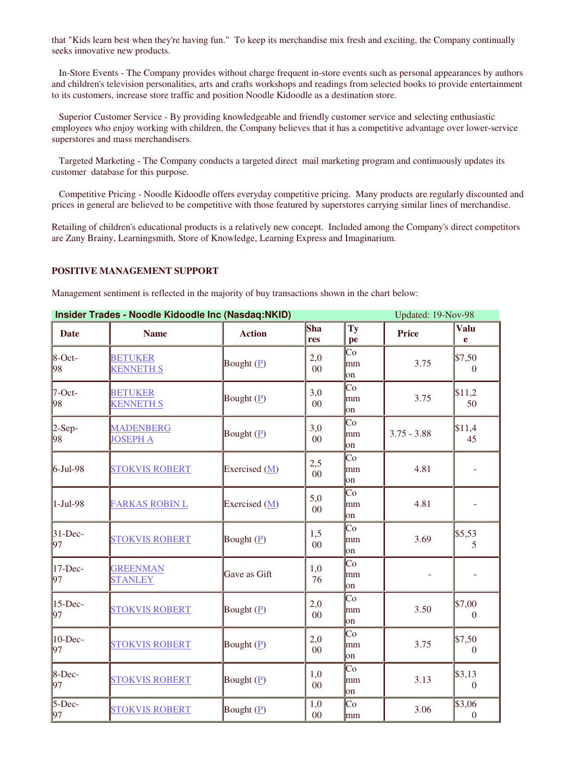that "Kids learn best when they're having fun." To keep its merchandise mix fresh and exciting, the Company continually seeks innovative new products.

In-Store Events - The Company provides without charge frequent in-store events such as personal appearances by authors and children's television personalities, arts and crafts workshops and readings from selected books to provide entertainment to its customers, increase store traffic and position Noodle Kidoodle as a destination store.

Superior Customer Service - By providing knowledgeable and friendly customer service and selecting enthusiastic employees who enjoy working with children, the Company believes that it has a competitive advantage over lower-service superstores and mass merchandisers.

Targeted Marketing - The Company conducts a targeted direct mail marketing program and continuously updates its customer database for this purpose.

Competitive Pricing - Noodle Kidoodle offers everyday competitive pricing. Many products are regularly discounted and prices in general are believed to be competitive with those featured by superstores carrying similar lines of merchandise.

Retailing of children's educational products is a relatively new concept. Included among the Company's direct competitors are Zany Brainy, Learningsmith, Store of Knowledge, Learning Express and Imaginarium.

### **POSITIVE MANAGEMENT SUPPORT**

Management sentiment is reflected in the majority of buy transactions shown in the chart below:

| Insider Trades - Noodle Kidoodle Inc (Nasdaq:NKID) |                                     |                          |                       |                                     | Updated: 19-Nov-98 |                                        |  |
|----------------------------------------------------|-------------------------------------|--------------------------|-----------------------|-------------------------------------|--------------------|----------------------------------------|--|
| <b>Date</b>                                        | <b>Name</b>                         | <b>Action</b>            | Sha<br>res            | Ty<br>pe                            | <b>Price</b>       | <b>Valu</b><br>e                       |  |
| $8$ -Oct-<br>98                                    | <b>BETUKER</b><br><b>KENNETH S</b>  | Bought $(P)$             | 2,0<br>$00\,$         | Co<br>mm<br>on                      | 3.75               | \$7,50<br>$\mathbf{0}$                 |  |
| $7$ -Oct-<br>98                                    | <b>BETUKER</b><br><b>KENNETH S</b>  | Bought $(\underline{P})$ | 3,0<br>$00\,$         | Co<br>lmm<br>$\mathsf{lon}$         | 3.75               | \$11,2<br>50                           |  |
| $2-Sep-$<br>98                                     | <b>MADENBERG</b><br><b>JOSEPH A</b> | Bought $(\underline{P})$ | 3,0<br>00             | Co<br>mm<br>on                      | $3.75 - 3.88$      | \$11,4<br>45                           |  |
| $6$ -Jul-98                                        | <b>STOKVIS ROBERT</b>               | Exercised (M)            | 2,5<br>0 <sup>0</sup> | Co<br>mm<br>lon                     | 4.81               |                                        |  |
| $1-Jul-98$                                         | <b>FARKAS ROBIN L</b>               | Exercised (M)            | 5,0<br>$00\,$         | Co<br>lmm<br>lon                    | 4.81               |                                        |  |
| $31 - Dec-$<br>97                                  | <b>STOKVIS ROBERT</b>               | Bought $(\underline{P})$ | 1,5<br>$00\,$         | Co<br>mm<br>on                      | 3.69               | \$5,53<br>5                            |  |
| $17$ -Dec-<br>97                                   | <b>GREENMAN</b><br><b>STANLEY</b>   | Gave as Gift             | 1,0<br>76             | $\overline{\text{Co}}$<br>mm<br>lon |                    |                                        |  |
| $15$ -Dec-<br>97                                   | <b>STOKVIS ROBERT</b>               | Bought $(\underline{P})$ | 2,0<br>0 <sup>0</sup> | $\overline{\text{Co}}$<br>mm<br>on  | 3.50               | \$7,00<br>$\mathbf{0}$                 |  |
| $10$ -Dec-<br>97                                   | <b>STOKVIS ROBERT</b>               | Bought $(P)$             | 2,0<br>$00\,$         | Co<br>mm<br>on                      | 3.75               | \$7,50<br>$\Omega$                     |  |
| $8$ -Dec-<br>97                                    | <b>STOKVIS ROBERT</b>               | Bought $(\underline{P})$ | 1,0<br>$00\,$         | Co<br>mm<br>$\lfloor$ on            | 3.13               | \$3,13<br>$\theta$                     |  |
| $5$ -Dec-<br>97                                    | <b>STOKVIS ROBERT</b>               | Bought $(P)$             | 1,0<br>$00\,$         | Co<br>mm                            | 3.06               | $\overline{$3,06}$<br>$\boldsymbol{0}$ |  |